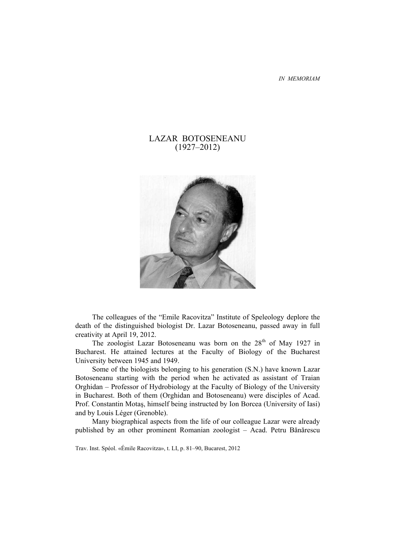*IN MEMORIAM* 

# LAZAR BOTOSENEANU (1927–2012)



The colleagues of the "Emile Racovitza" Institute of Speleology deplore the death of the distinguished biologist Dr. Lazar Botoseneanu, passed away in full creativity at April 19, 2012.

The zoologist Lazar Botoseneanu was born on the 28<sup>th</sup> of May 1927 in Bucharest. He attained lectures at the Faculty of Biology of the Bucharest University between 1945 and 1949.

Some of the biologists belonging to his generation (S.N.) have known Lazar Botoseneanu starting with the period when he activated as assistant of Traian Orghidan – Professor of Hydrobiology at the Faculty of Biology of the University in Bucharest. Both of them (Orghidan and Botoseneanu) were disciples of Acad. Prof. Constantin Motaş, himself being instructed by Ion Borcea (University of Iasi) and by Louis Léger (Grenoble).

Many biographical aspects from the life of our colleague Lazar were already published by an other prominent Romanian zoologist – Acad. Petru Bănărescu

Trav. Inst. Spéol. «Émile Racovitza», t. LI, p. 81–90, Bucarest, 2012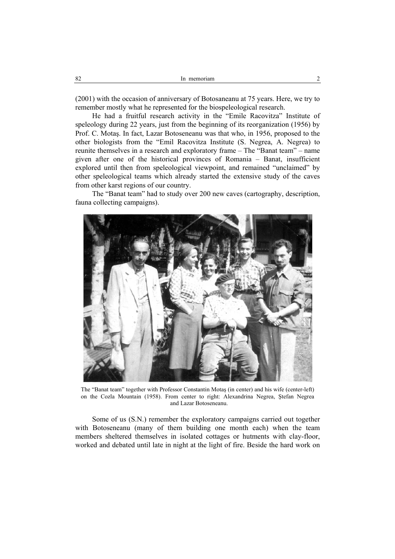(2001) with the occasion of anniversary of Botosaneanu at 75 years. Here, we try to remember mostly what he represented for the biospeleological research.

He had a fruitful research activity in the "Emile Racovitza" Institute of speleology during 22 years, just from the beginning of its reorganization (1956) by Prof. C. Motaş. In fact, Lazar Botoseneanu was that who, in 1956, proposed to the other biologists from the "Emil Racovitza Institute (S. Negrea, A. Negrea) to reunite themselves in a research and exploratory frame – The "Banat team" – name given after one of the historical provinces of Romania – Banat, insufficient explored until then from speleological viewpoint, and remained "unclaimed" by other speleological teams which already started the extensive study of the caves from other karst regions of our country.

The "Banat team" had to study over 200 new caves (cartography, description, fauna collecting campaigns).



The "Banat team" together with Professor Constantin Motaş (in center) and his wife (center-left) on the Cozla Mountain (1958). From center to right: Alexandrina Negrea, Ştefan Negrea and Lazar Botoseneanu.

Some of us (S.N.) remember the exploratory campaigns carried out together with Botoseneanu (many of them building one month each) when the team members sheltered themselves in isolated cottages or hutments with clay-floor, worked and debated until late in night at the light of fire. Beside the hard work on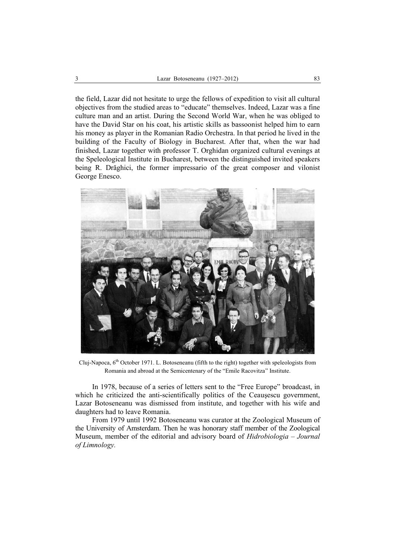the field, Lazar did not hesitate to urge the fellows of expedition to visit all cultural objectives from the studied areas to "educate" themselves. Indeed, Lazar was a fine culture man and an artist. During the Second World War, when he was obliged to have the David Star on his coat, his artistic skills as bassoonist helped him to earn his money as player in the Romanian Radio Orchestra. In that period he lived in the building of the Faculty of Biology in Bucharest. After that, when the war had finished, Lazar together with professor T. Orghidan organized cultural evenings at the Speleological Institute in Bucharest, between the distinguished invited speakers being R. Drăghici, the former impressario of the great composer and vilonist George Enesco.



Cluj-Napoca, 6<sup>th</sup> October 1971. L. Botoseneanu (fifth to the right) together with speleologists from Romania and abroad at the Semicentenary of the "Emile Racovitza" Institute.

In 1978, because of a series of letters sent to the "Free Europe" broadcast, in which he criticized the anti-scientifically politics of the Ceauşescu government, Lazar Botoseneanu was dismissed from institute, and together with his wife and daughters had to leave Romania.

From 1979 until 1992 Botoseneanu was curator at the Zoological Museum of the University of Amsterdam. Then he was honorary staff member of the Zoological Museum, member of the editorial and advisory board of *Hidrobiologia – Journal of Limnology.*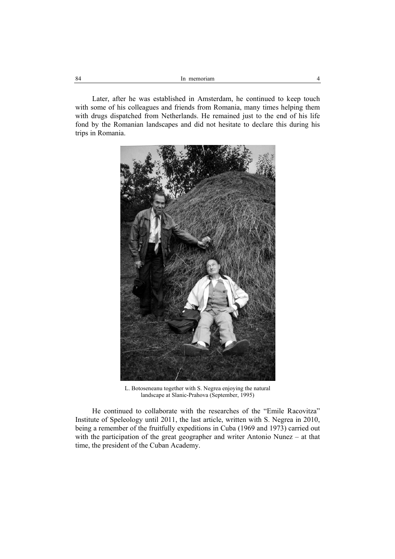Later, after he was established in Amsterdam, he continued to keep touch with some of his colleagues and friends from Romania, many times helping them with drugs dispatched from Netherlands. He remained just to the end of his life fond by the Romanian landscapes and did not hesitate to declare this during his trips in Romania.



L. Botoseneanu together with S. Negrea enjoying the natural landscape at Slanic-Prahova (September, 1995)

He continued to collaborate with the researches of the "Emile Racovitza" Institute of Speleology until 2011, the last article, written with S. Negrea in 2010, being a remember of the fruitfully expeditions in Cuba (1969 and 1973) carried out with the participation of the great geographer and writer Antonio Nunez – at that time, the president of the Cuban Academy.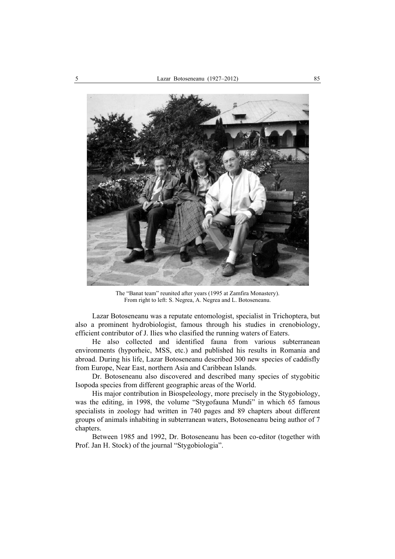

The "Banat team" reunited after years (1995 at Zamfira Monastery). From right to left: S. Negrea, A. Negrea and L. Botoseneanu.

Lazar Botoseneanu was a reputate entomologist, specialist in Trichoptera, but also a prominent hydrobiologist, famous through his studies in crenobiology, efficient contributor of J. Ilies who clasified the running waters of Eaters.

He also collected and identified fauna from various subterranean environments (hyporheic, MSS, etc.) and published his results in Romania and abroad. During his life, Lazar Botoseneanu described 300 new species of caddisfly from Europe, Near East, northern Asia and Caribbean Islands.

Dr. Botoseneanu also discovered and described many species of stygobitic Isopoda species from different geographic areas of the World.

His major contribution in Biospeleology, more precisely in the Stygobiology, was the editing, in 1998, the volume "Stygofauna Mundi" in which 65 famous specialists in zoology had written in 740 pages and 89 chapters about different groups of animals inhabiting in subterranean waters, Botoseneanu being author of 7 chapters.

Between 1985 and 1992, Dr. Botoseneanu has been co-editor (together with Prof. Jan H. Stock) of the journal "Stygobiologia".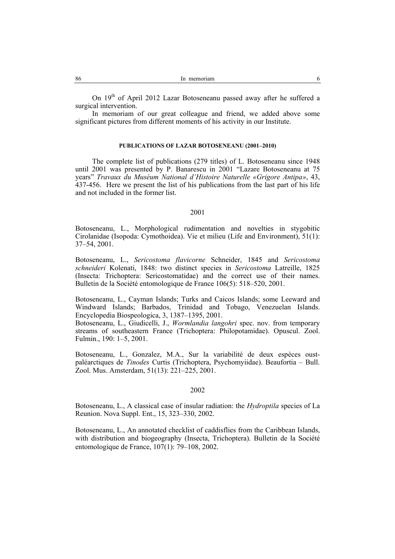On 19<sup>th</sup> of April 2012 Lazar Botoseneanu passed away after he suffered a surgical intervention.

In memoriam of our great colleague and friend, we added above some significant pictures from different moments of his activity in our Institute.

#### **PUBLICATIONS OF LAZAR BOTOSENEANU (2001–2010)**

The complete list of publications (279 titles) of L. Botoseneanu since 1948 until 2001 was presented by P. Banarescu in 2001 "Lazare Botoseneanu at 75 years" *Travaux du Muséum National d'Histoire Naturelle «Grigore Antipa»*, 43, 437-456. Here we present the list of his publications from the last part of his life and not included in the former list.

#### 2001

Botoseneanu, L., Morphological rudimentation and novelties in stygobitic Cirolanidae (Isopoda: Cymothoidea). Vie et milieu (Life and Environment), 51(1): 37–54, 2001.

Botoseneanu, L., *Sericostoma flavicorne* Schneider, 1845 and *Sericostoma schneideri* Kolenati, 1848: two distinct species in *Sericostoma* Latreille, 1825 (Insecta: Trichoptera: Sericostomatidae) and the correct use of their names. Bulletin de la Société entomologique de France 106(5): 518–520, 2001.

Botoseneanu, L., Cayman Islands; Turks and Caicos Islands; some Leeward and Windward Islands; Barbados, Trinidad and Tobago, Venezuelan Islands. Encyclopedia Biospeologica, 3, 1387–1395, 2001.

Botoseneanu, L., Giudicelli, J., *Wormlandia langohri* spec. nov. from temporary streams of southeastern France (Trichoptera: Philopotamidae). Opuscul. Zool. Fulmin., 190: 1–5, 2001.

Botoseneanu, L., Gonzalez, M.A., Sur la variabilité de deux espèces oustpaléarctiques de *Tinodes* Curtis (Trichoptera, Psychomyiidae). Beaufortia – Bull. Zool. Mus. Amsterdam, 51(13): 221–225, 2001.

## 2002

Botoseneanu, L., A classical case of insular radiation: the *Hydroptila* species of La Reunion. Nova Suppl. Ent., 15, 323–330, 2002.

Botoseneanu, L., An annotated checklist of caddisflies from the Caribbean Islands, with distribution and biogeography (Insecta, Trichoptera). Bulletin de la Société entomologique de France, 107(1): 79–108, 2002.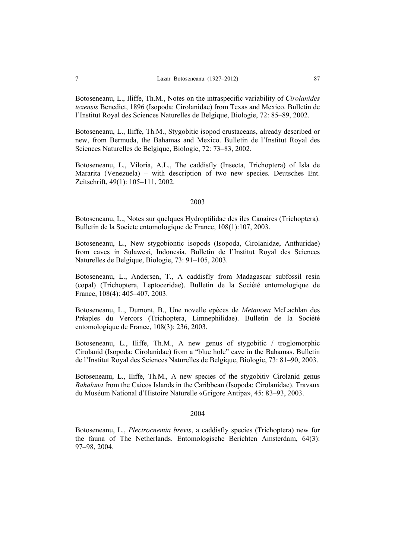Botoseneanu, L., Iliffe, Th.M., Notes on the intraspecific variability of *Cirolanides texensis* Benedict, 1896 (Isopoda: Cirolanidae) from Texas and Mexico. Bulletin de l'Institut Royal des Sciences Naturelles de Belgique, Biologie, 72: 85–89, 2002.

Botoseneanu, L., Iliffe, Th.M., Stygobitic isopod crustaceans, already described or new, from Bermuda, the Bahamas and Mexico. Bulletin de l'Institut Royal des Sciences Naturelles de Belgique, Biologie, 72: 73–83, 2002.

Botoseneanu, L., Viloria, A.L., The caddisfly (Insecta, Trichoptera) of Isla de Mararita (Venezuela) – with description of two new species. Deutsches Ent. Zeitschrift, 49(1): 105–111, 2002.

#### 2003

Botoseneanu, L., Notes sur quelques Hydroptilidae des îles Canaires (Trichoptera). Bulletin de la Societe entomologique de France, 108(1):107, 2003.

Botoseneanu, L., New stygobiontic isopods (Isopoda, Cirolanidae, Anthuridae) from caves in Sulawesi, Indonesia. Bulletin de l'Institut Royal des Sciences Naturelles de Belgique, Biologie, 73: 91–105, 2003.

Botoseneanu, L., Andersen, T., A caddisfly from Madagascar subfossil resin (copal) (Trichoptera, Leptoceridae). Bulletin de la Société entomologique de France, 108(4): 405–407, 2003.

Botoseneanu, L., Dumont, B., Une novelle epèces de *Metanoea* McLachlan des Préaples du Vercors (Trichoptera, Limnephilidae). Bulletin de la Société entomologique de France, 108(3): 236, 2003.

Botoseneanu, L., Iliffe, Th.M., A new genus of stygobitic / troglomorphic Cirolanid (Isopoda: Cirolanidae) from a "blue hole" cave in the Bahamas. Bulletin de l'Institut Royal des Sciences Naturelles de Belgique, Biologie, 73: 81–90, 2003.

Botoseneanu, L., Iliffe, Th.M., A new species of the stygobitiv Cirolanid genus *Bahalana* from the Caicos Islands in the Caribbean (Isopoda: Cirolanidae). Travaux du Muséum National d'Histoire Naturelle «Grigore Antipa», 45: 83–93, 2003.

#### 2004

Botoseneanu, L., *Plectrocnemia brevis*, a caddisfly species (Trichoptera) new for the fauna of The Netherlands. Entomologische Berichten Amsterdam, 64(3): 97–98, 2004.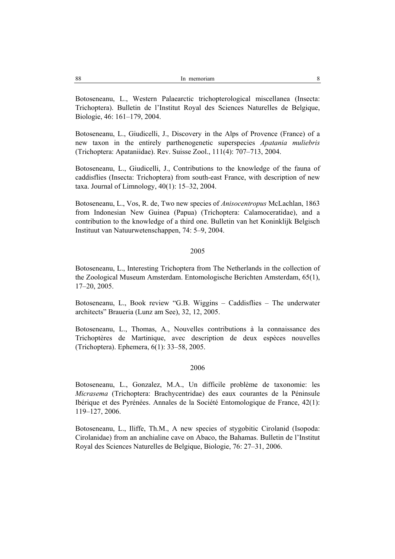Botoseneanu, L., Western Palaearctic trichopterological miscellanea (Insecta: Trichoptera). Bulletin de l'Institut Royal des Sciences Naturelles de Belgique, Biologie, 46: 161–179, 2004.

Botoseneanu, L., Giudicelli, J., Discovery in the Alps of Provence (France) of a new taxon in the entirely parthenogenetic superspecies *Apatania muliebris* (Trichoptera: Apataniidae). Rev. Suisse Zool., 111(4): 707–713, 2004.

Botoseneanu, L., Giudicelli, J., Contributions to the knowledge of the fauna of caddisflies (Insecta: Trichoptera) from south-east France, with description of new taxa. Journal of Limnology, 40(1): 15–32, 2004.

Botoseneanu, L., Vos, R. de, Two new species of *Anisocentropus* McLachlan, 1863 from Indonesian New Guinea (Papua) (Trichoptera: Calamoceratidae), and a contribution to the knowledge of a third one. Bulletin van het Koninklijk Belgisch Instituut van Natuurwetenschappen, 74: 5–9, 2004.

## 2005

Botoseneanu, L., Interesting Trichoptera from The Netherlands in the collection of the Zoological Museum Amsterdam. Entomologische Berichten Amsterdam, 65(1), 17–20, 2005.

Botoseneanu, L., Book review "G.B. Wiggins – Caddisflies – The underwater architects" Braueria (Lunz am See), 32, 12, 2005.

Botoseneanu, L., Thomas, A., Nouvelles contributions à la connaissance des Trichoptères de Martinique, avec description de deux espèces nouvelles (Trichoptera). Ephemera, 6(1): 33–58, 2005.

## 2006

Botoseneanu, L., Gonzalez, M.A., Un difficile problème de taxonomie: les *Micrasema* (Trichoptera: Brachycentridae) des eaux courantes de la Péninsule Ibérique et des Pyrénées. Annales de la Société Entomologique de France, 42(1): 119–127, 2006.

Botoseneanu, L., Iliffe, Th.M., A new species of stygobitic Cirolanid (Isopoda: Cirolanidae) from an anchialine cave on Abaco, the Bahamas. Bulletin de l'Institut Royal des Sciences Naturelles de Belgique, Biologie, 76: 27–31, 2006.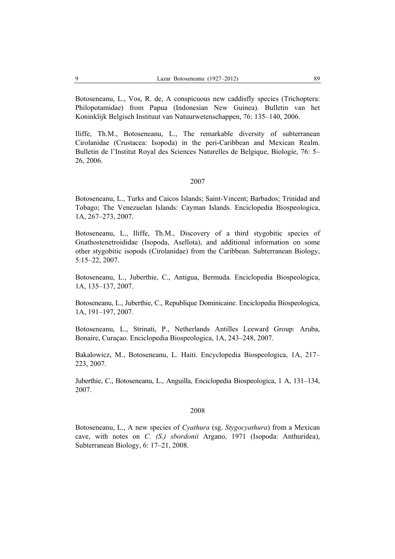Botoseneanu, L., Vos, R. de, A conspicuous new caddisfly species (Trichoptera: Philopotamidae) from Papua (Indonesian New Guinea). Bulletin van het Koninklijk Belgisch Instituut van Natuurwetenschappen, 76: 135–140, 2006.

Iliffe, Th.M., Botoseneanu, L., The remarkable diversity of subterranean Cirolanidae (Crustacea: Isopoda) in the peri-Caribbean and Mexican Realm. Bulletin de l'Institut Royal des Sciences Naturelles de Belgique, Biologie, 76: 5– 26, 2006.

## 2007

Botoseneanu, L., Turks and Caicos Islands; Saint-Vincent; Barbados; Trinidad and Tobago; The Venezuelan Islands: Cayman Islands. Enciclopedia Biospeologica, 1A, 267–273, 2007.

Botoseneanu, L., Iliffe, Th.M., Discovery of a third stygobitic species of Gnathostenetroididae (Isopoda, Asellota), and additional information on some other stygobitic isopods (Cirolanidae) from the Caribbean. Subterranean Biology, 5:15–22, 2007.

Botoseneanu, L., Juberthie, C., Antigua, Bermuda. Enciclopedia Biospeologica, 1A, 135–137, 2007.

Botoseneanu, L., Juberthie, C., Republique Dominicaine. Enciclopedia Biospeologica, 1A, 191–197, 2007.

Botoseneanu, L., Strinati, P., Netherlands Antilles Leeward Group: Aruba, Bonaire, Curaçao. Enciclopedia Biospeologica, 1A, 243–248, 2007.

Bakalowicz, M., Botoseneanu, L. Haiti. Encyclopedia Biospeologica, 1A, 217– 223, 2007.

Juberthie, C., Botoseneanu, L., Anguilla, Enciclopedia Biospeologica, 1 A, 131–134, 2007.

## 2008

Botoseneanu, L., A new species of *Cyathura* (sg. *Stygocyathura*) from a Mexican cave, with notes on *C. (S.) sbordonii* Argano, 1971 (Isopoda: Anthuridea), Subterranean Biology, 6: 17–21, 2008.